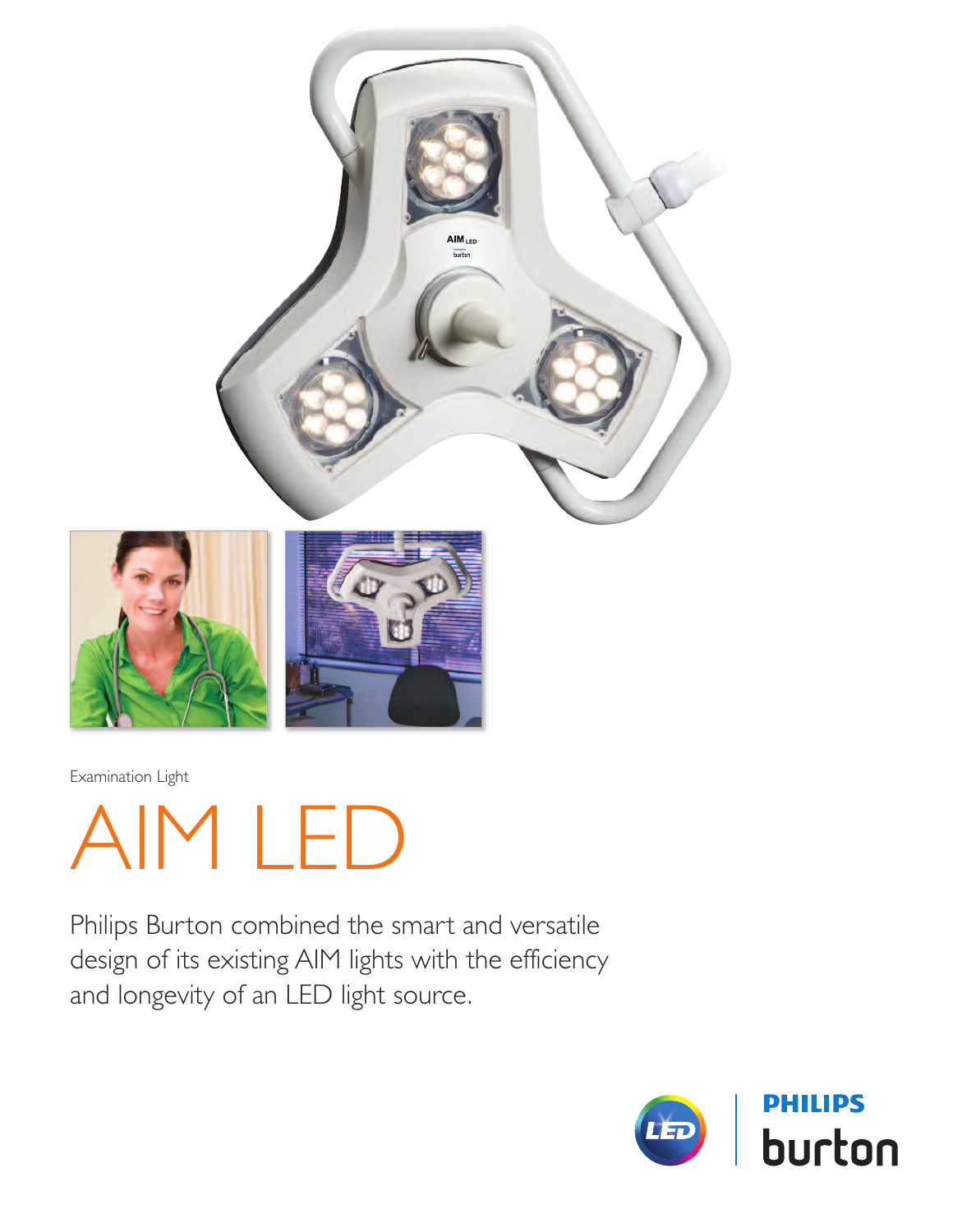

Examination Light

AIM LED

Philips Burton combined the smart and versatile design of its existing AIM lights with the efficiency and longevity of an LED light source.

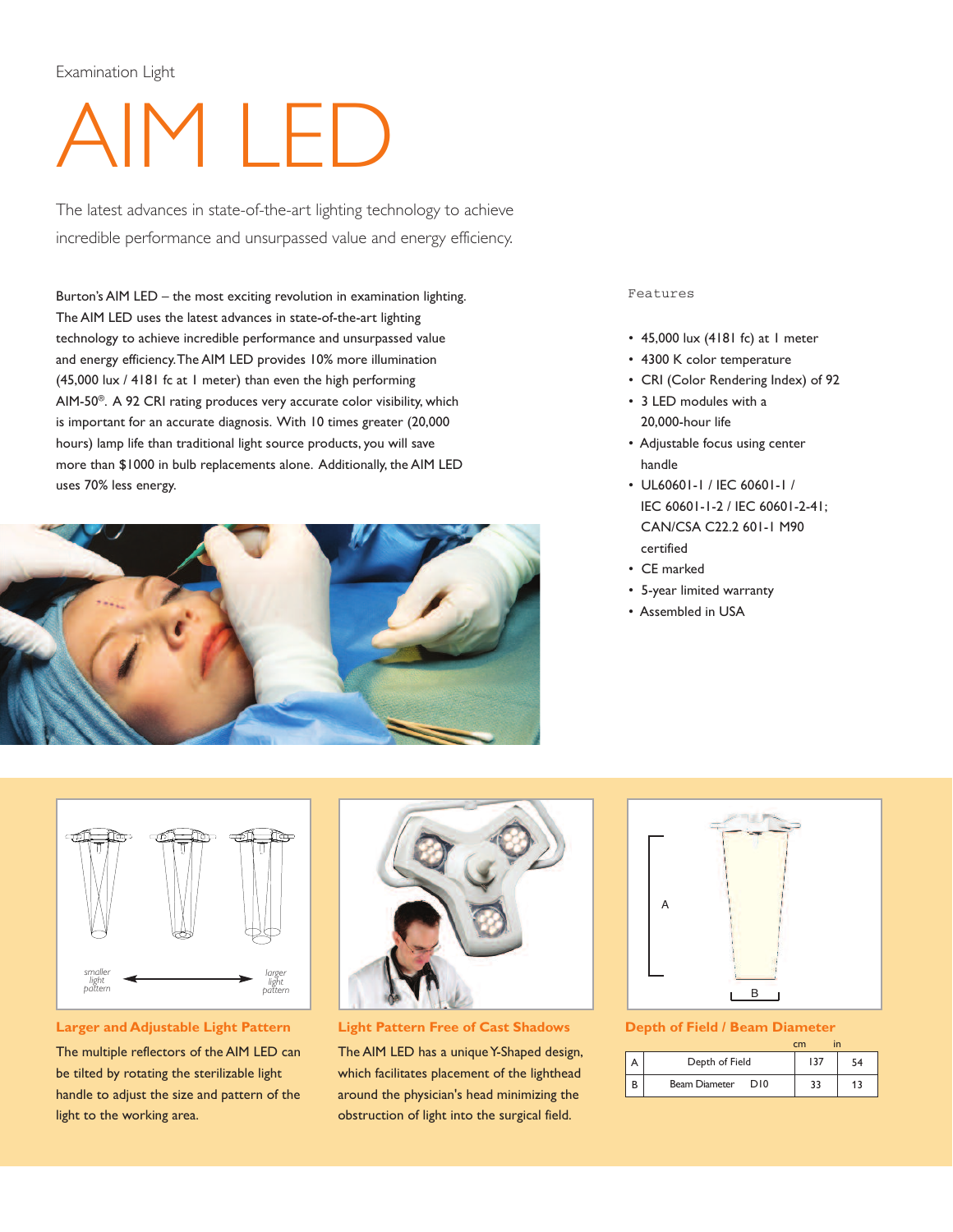## Examination Light

# AIM LED

The latest advances in state-of-the-art lighting technology to achieve incredible performance and unsurpassed value and energy efficiency.

Burton's AIM LED – the most exciting revolution in examination lighting. The AIM LED uses the latest advances in state-of-the-art lighting technology to achieve incredible performance and unsurpassed value and energy efficiency.The AIM LED provides 10% more illumination (45,000 lux / 4181 fc at 1 meter) than even the high performing AIM-50®. A 92 CRI rating produces very accurate color visibility, which is important for an accurate diagnosis. With 10 times greater (20,000 hours) lamp life than traditional light source products, you will save more than \$1000 in bulb replacements alone. Additionally, the AIM LED uses 70% less energy.



#### Features

- 45,000 lux (4181 fc) at 1 meter
- 4300 K color temperature
- CRI (Color Rendering Index) of 92
- 3 LED modules with a 20,000-hour life
- Adjustable focus using center handle
- UL60601-1 / IEC 60601-1 / IEC 60601-1-2 / IEC 60601-2-41; CAN/CSA C22.2 601-1 M90 certified
- CE marked
- 5-year limited warranty
- Assembled in USA



#### **Larger and Adjustable Light Pattern**

The multiple reflectors of the AIM LED can be tilted by rotating the sterilizable light handle to adjust the size and pattern of the light to the working area.



**Light Pattern Free of Cast Shadows**

The AIM LED has a unique Y-Shaped design, which facilitates placement of the lighthead around the physician's head minimizing the obstruction of light into the surgical field.



#### **Depth of Field / Beam Diameter**

|                             | cm  | in |
|-----------------------------|-----|----|
| Depth of Field              | 137 | 54 |
| <b>Beam Diameter</b><br>DI0 | 33  | 13 |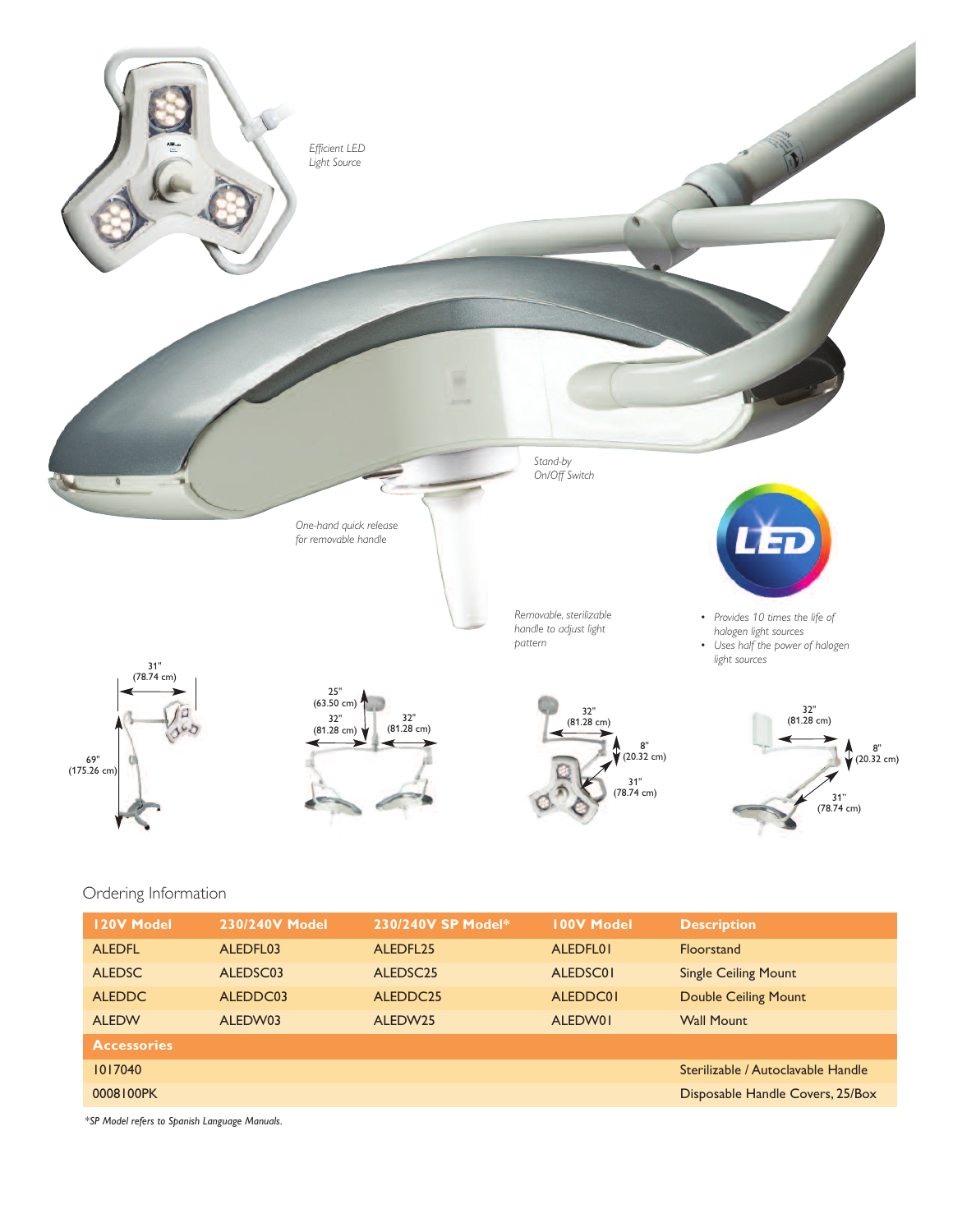

### Ordering Information

| <b>120V Model</b>  | 230/240V Model | 230/240V SP Model*   | <b>100V Model</b> | <b>Description</b>                 |
|--------------------|----------------|----------------------|-------------------|------------------------------------|
| <b>ALEDFL</b>      | ALEDFL03       | ALEDFL25             | ALEDFL01          | <b>Floorstand</b>                  |
| <b>ALEDSC</b>      | ALEDSC03       | ALEDSC <sub>25</sub> | ALEDSC01          | <b>Single Ceiling Mount</b>        |
| <b>ALEDDC</b>      | ALEDDC03       | ALEDDC25             | ALEDDC01          | <b>Double Ceiling Mount</b>        |
| <b>ALEDW</b>       | ALEDW03        | ALEDW25              | ALEDW01           | <b>Wall Mount</b>                  |
| <b>Accessories</b> |                |                      |                   |                                    |
| 1017040            |                |                      |                   | Sterilizable / Autoclavable Handle |
| 0008100PK          |                |                      |                   | Disposable Handle Covers, 25/Box   |

*\*SP Model refers to Spanish Language Manuals.*